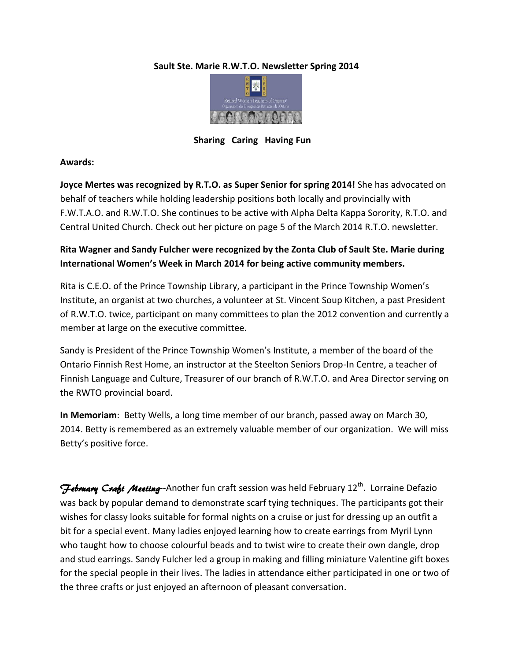### **Sault Ste. Marie R.W.T.O. Newsletter Spring 2014**



 **Sharing Caring Having Fun** 

### **Awards:**

**Joyce Mertes was recognized by R.T.O. as Super Senior for spring 2014!** She has advocated on behalf of teachers while holding leadership positions both locally and provincially with F.W.T.A.O. and R.W.T.O. She continues to be active with Alpha Delta Kappa Sorority, R.T.O. and Central United Church. Check out her picture on page 5 of the March 2014 R.T.O. newsletter.

# **Rita Wagner and Sandy Fulcher were recognized by the Zonta Club of Sault Ste. Marie during International Women's Week in March 2014 for being active community members.**

Rita is C.E.O. of the Prince Township Library, a participant in the Prince Township Women's Institute, an organist at two churches, a volunteer at St. Vincent Soup Kitchen, a past President of R.W.T.O. twice, participant on many committees to plan the 2012 convention and currently a member at large on the executive committee.

Sandy is President of the Prince Township Women's Institute, a member of the board of the Ontario Finnish Rest Home, an instructor at the Steelton Seniors Drop-In Centre, a teacher of Finnish Language and Culture, Treasurer of our branch of R.W.T.O. and Area Director serving on the RWTO provincial board.

**In Memoriam**: Betty Wells, a long time member of our branch, passed away on March 30, 2014. Betty is remembered as an extremely valuable member of our organization. We will miss Betty's positive force.

February Craft Meeting--Another fun craft session was held February 12<sup>th</sup>. Lorraine Defazio was back by popular demand to demonstrate scarf tying techniques. The participants got their wishes for classy looks suitable for formal nights on a cruise or just for dressing up an outfit a bit for a special event. Many ladies enjoyed learning how to create earrings from Myril Lynn who taught how to choose colourful beads and to twist wire to create their own dangle, drop and stud earrings. Sandy Fulcher led a group in making and filling miniature Valentine gift boxes for the special people in their lives. The ladies in attendance either participated in one or two of the three crafts or just enjoyed an afternoon of pleasant conversation.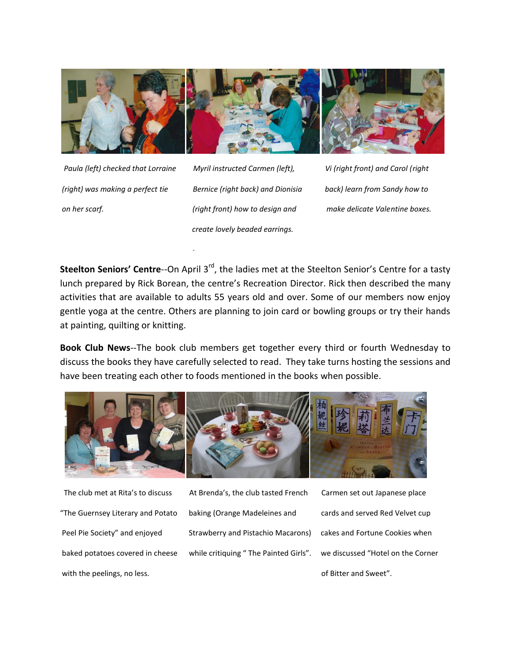

*.*

 *Paula (left) checked that Lorraine Myril instructed Carmen (left), Vi (right front) and Carol (right (right) was making a perfect tie Bernice (right back) and Dionisia back) learn from Sandy how to on her scarf. (right front) how to design and make delicate Valentine boxes. create lovely beaded earrings.* 

**Steelton Seniors' Centre--**On April 3<sup>rd</sup>, the ladies met at the Steelton Senior's Centre for a tasty lunch prepared by Rick Borean, the centre's Recreation Director. Rick then described the many activities that are available to adults 55 years old and over. Some of our members now enjoy gentle yoga at the centre. Others are planning to join card or bowling groups or try their hands at painting, quilting or knitting.

**Book Club News**--The book club members get together every third or fourth Wednesday to discuss the books they have carefully selected to read. They take turns hosting the sessions and have been treating each other to foods mentioned in the books when possible.



with the peelings, no less.  $\blacksquare$ 

 The club met at Rita's to discuss At Brenda's, the club tasted French Carmen set out Japanese place "The Guernsey Literary and Potato baking (Orange Madeleines and cards and served Red Velvet cup Peel Pie Society" and enjoyed Strawberry and Pistachio Macarons) cakes and Fortune Cookies when baked potatoes covered in cheese while critiquing " The Painted Girls". we discussed "Hotel on the Corner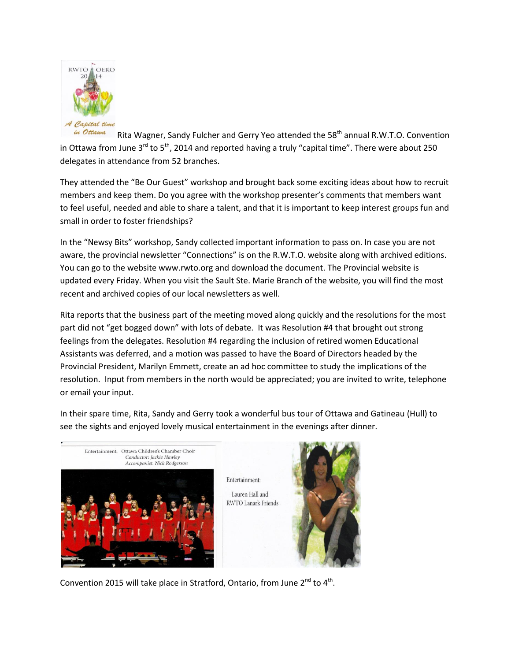

in Ottawa Rita Wagner, Sandy Fulcher and Gerry Yeo attended the  $58<sup>th</sup>$  annual R.W.T.O. Convention in Ottawa from June  $3^{rd}$  to  $5^{th}$ , 2014 and reported having a truly "capital time". There were about 250 delegates in attendance from 52 branches.

They attended the "Be Our Guest" workshop and brought back some exciting ideas about how to recruit members and keep them. Do you agree with the workshop presenter's comments that members want to feel useful, needed and able to share a talent, and that it is important to keep interest groups fun and small in order to foster friendships?

In the "Newsy Bits" workshop, Sandy collected important information to pass on. In case you are not aware, the provincial newsletter "Connections" is on the R.W.T.O. website along with archived editions. You can go to the website www.rwto.org and download the document. The Provincial website is updated every Friday. When you visit the Sault Ste. Marie Branch of the website, you will find the most recent and archived copies of our local newsletters as well.

Rita reports that the business part of the meeting moved along quickly and the resolutions for the most part did not "get bogged down" with lots of debate. It was Resolution #4 that brought out strong feelings from the delegates. Resolution #4 regarding the inclusion of retired women Educational Assistants was deferred, and a motion was passed to have the Board of Directors headed by the Provincial President, Marilyn Emmett, create an ad hoc committee to study the implications of the resolution. Input from members in the north would be appreciated; you are invited to write, telephone or email your input.

In their spare time, Rita, Sandy and Gerry took a wonderful bus tour of Ottawa and Gatineau (Hull) to see the sights and enjoyed lovely musical entertainment in the evenings after dinner.

Entertainment:





Convention 2015 will take place in Stratford, Ontario, from June 2<sup>nd</sup> to 4<sup>th</sup>.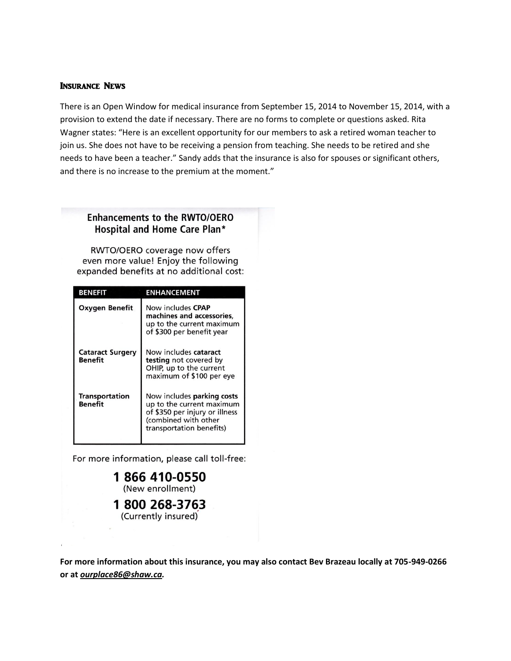#### Insurance News

There is an Open Window for medical insurance from September 15, 2014 to November 15, 2014, with a provision to extend the date if necessary. There are no forms to complete or questions asked. Rita Wagner states: "Here is an excellent opportunity for our members to ask a retired woman teacher to join us. She does not have to be receiving a pension from teaching. She needs to be retired and she needs to have been a teacher." Sandy adds that the insurance is also for spouses or significant others, and there is no increase to the premium at the moment."

## **Enhancements to the RWTO/OERO** Hospital and Home Care Plan\*

RWTO/OERO coverage now offers even more value! Enjoy the following expanded benefits at no additional cost:

| <b>BENEFIT</b>                     | ENHANCEMENT                                                                                                                                   |
|------------------------------------|-----------------------------------------------------------------------------------------------------------------------------------------------|
| <b>Oxygen Benefit</b>              | Now includes CPAP<br>machines and accessories,<br>up to the current maximum<br>of \$300 per benefit year                                      |
| <b>Cataract Surgery</b><br>Benefit | Now includes cataract<br>testing not covered by<br>OHIP, up to the current<br>maximum of \$100 per eye                                        |
| <b>Transportation</b><br>Benefit   | Now includes parking costs<br>up to the current maximum<br>of \$350 per injury or illness<br>(combined with other<br>transportation benefits) |

For more information, please call toll-free:

1866 410-0550 (New enrollment)

1800 268-3763 (Currently insured)

**For more information about this insurance, you may also contact Bev Brazeau locally at 705-949-0266 or at** *ourplace86@shaw.ca.*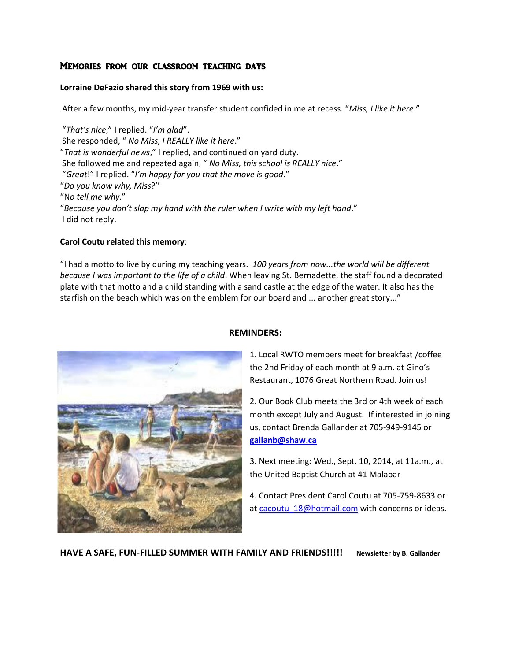### Memories from our classroom teaching days

#### **Lorraine DeFazio shared this story from 1969 with us:**

After a few months, my mid-year transfer student confided in me at recess. "*Miss, I like it here*."

"*That's nice*," I replied. "*I'm glad*". She responded, " *No Miss, I REALLY like it here*." "*That is wonderful news*," I replied, and continued on yard duty. She followed me and repeated again, " *No Miss, this school is REALLY nice*." "*Great*!" I replied. "*I'm happy for you that the move is good*." "*Do you know why, Miss*?'' "N*o tell me why*." "*Because you don't slap my hand with the ruler when I write with my left hand*." I did not reply.

#### **Carol Coutu related this memory**:

"I had a motto to live by during my teaching years. *100 years from now...the world will be different because I was important to the life of a child*. When leaving St. Bernadette, the staff found a decorated plate with that motto and a child standing with a sand castle at the edge of the water. It also has the starfish on the beach which was on the emblem for our board and ... another great story..."



#### **REMINDERS:**

1. Local RWTO members meet for breakfast /coffee the 2nd Friday of each month at 9 a.m. at Gino's Restaurant, 1076 Great Northern Road. Join us!

2. Our Book Club meets the 3rd or 4th week of each month except July and August. If interested in joining us, contact Brenda Gallander at 705-949-9145 or **[gallanb@shaw.ca](mailto:gallanb@shaw.ca)**

3. Next meeting: Wed., Sept. 10, 2014, at 11a.m., at the United Baptist Church at 41 Malabar

4. Contact President Carol Coutu at 705-759-8633 or at cacoutu 18@hotmail.com with concerns or ideas.

**HAVE A SAFE, FUN-FILLED SUMMER WITH FAMILY AND FRIENDS!!!!! Newsletter by B. Gallander**